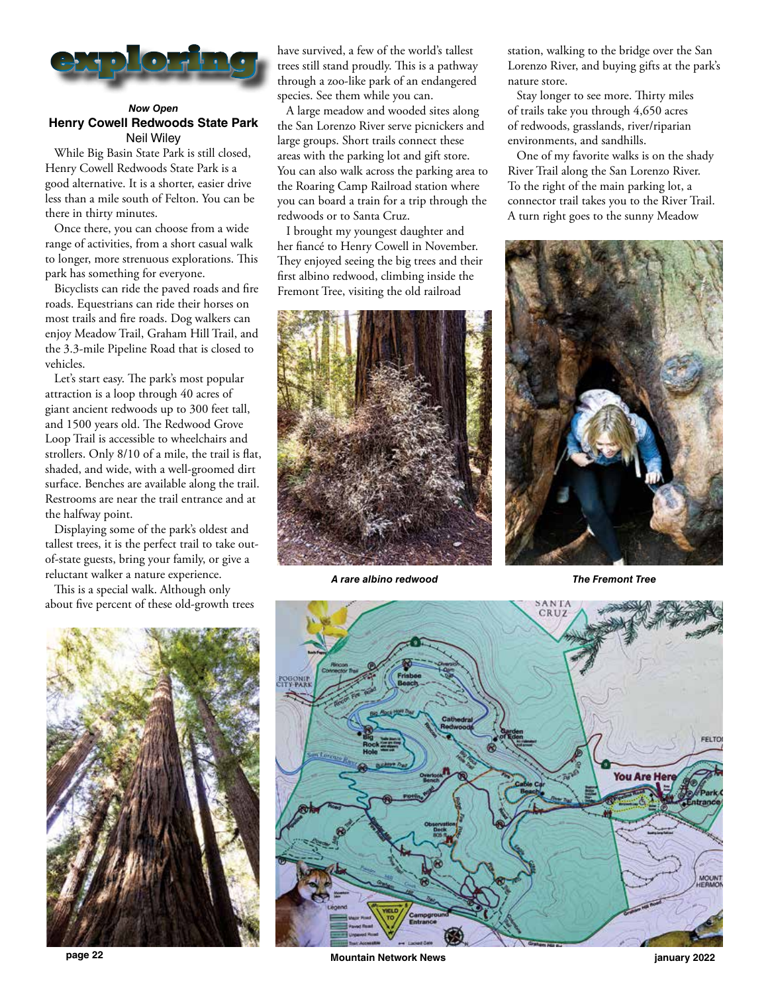

## *Now Open* **Henry Cowell Redwoods State Park** Neil Wiley

While Big Basin State Park is still closed, Henry Cowell Redwoods State Park is a good alternative. It is a shorter, easier drive less than a mile south of Felton. You can be there in thirty minutes.

Once there, you can choose from a wide range of activities, from a short casual walk to longer, more strenuous explorations. This park has something for everyone.

Bicyclists can ride the paved roads and fire roads. Equestrians can ride their horses on most trails and fire roads. Dog walkers can enjoy Meadow Trail, Graham Hill Trail, and the 3.3-mile Pipeline Road that is closed to vehicles.

Let's start easy. The park's most popular attraction is a loop through 40 acres of giant ancient redwoods up to 300 feet tall, and 1500 years old. The Redwood Grove Loop Trail is accessible to wheelchairs and strollers. Only 8/10 of a mile, the trail is flat, shaded, and wide, with a well-groomed dirt surface. Benches are available along the trail. Restrooms are near the trail entrance and at the halfway point.

Displaying some of the park's oldest and tallest trees, it is the perfect trail to take outof-state guests, bring your family, or give a reluctant walker a nature experience.

This is a special walk. Although only about five percent of these old-growth trees



have survived, a few of the world's tallest trees still stand proudly. This is a pathway through a zoo-like park of an endangered species. See them while you can.

A large meadow and wooded sites along the San Lorenzo River serve picnickers and large groups. Short trails connect these areas with the parking lot and gift store. You can also walk across the parking area to the Roaring Camp Railroad station where you can board a train for a trip through the redwoods or to Santa Cruz.

I brought my youngest daughter and her fiancé to Henry Cowell in November. They enjoyed seeing the big trees and their first albino redwood, climbing inside the Fremont Tree, visiting the old railroad



*A rare albino redwood*

station, walking to the bridge over the San Lorenzo River, and buying gifts at the park's nature store.

Stay longer to see more. Thirty miles of trails take you through 4,650 acres of redwoods, grasslands, river/riparian environments, and sandhills.

One of my favorite walks is on the shady River Trail along the San Lorenzo River. To the right of the main parking lot, a connector trail takes you to the River Trail. A turn right goes to the sunny Meadow



*The Fremont Tree*



**page 22 Mountain Network News january 2022**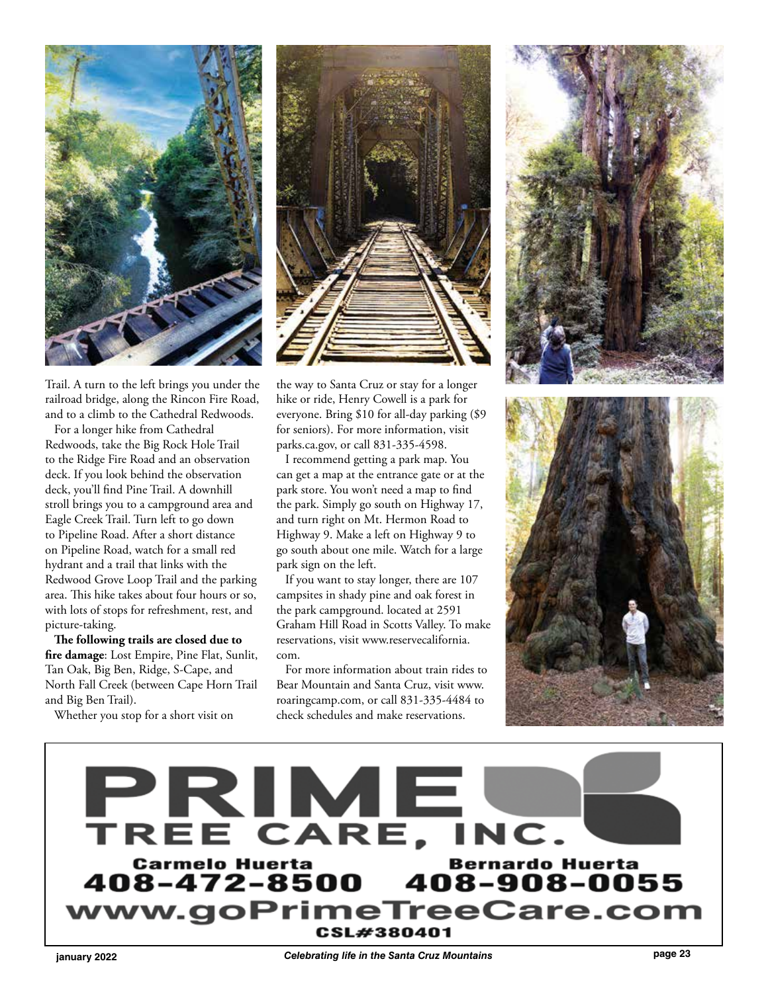

Trail. A turn to the left brings you under the railroad bridge, along the Rincon Fire Road, and to a climb to the Cathedral Redwoods.

For a longer hike from Cathedral Redwoods, take the Big Rock Hole Trail to the Ridge Fire Road and an observation deck. If you look behind the observation deck, you'll find Pine Trail. A downhill stroll brings you to a campground area and Eagle Creek Trail. Turn left to go down to Pipeline Road. After a short distance on Pipeline Road, watch for a small red hydrant and a trail that links with the Redwood Grove Loop Trail and the parking area. This hike takes about four hours or so, with lots of stops for refreshment, rest, and picture-taking.

**The following trails are closed due to fire damage**: Lost Empire, Pine Flat, Sunlit, Tan Oak, Big Ben, Ridge, S-Cape, and North Fall Creek (between Cape Horn Trail and Big Ben Trail).

Whether you stop for a short visit on



the way to Santa Cruz or stay for a longer hike or ride, Henry Cowell is a park for everyone. Bring \$10 for all-day parking (\$9 for seniors). For more information, visit parks.ca.gov, or call 831-335-4598.

I recommend getting a park map. You can get a map at the entrance gate or at the park store. You won't need a map to find the park. Simply go south on Highway 17, and turn right on Mt. Hermon Road to Highway 9. Make a left on Highway 9 to go south about one mile. Watch for a large park sign on the left.

If you want to stay longer, there are 107 campsites in shady pine and oak forest in the park campground. located at 2591 Graham Hill Road in Scotts Valley. To make reservations, visit www.reservecalifornia. com.

For more information about train rides to Bear Mountain and Santa Cruz, visit www. roaringcamp.com, or call 831-335-4484 to check schedules and make reservations.







**page 23 january 2022** *Celebrating life in the Santa Cruz Mountains*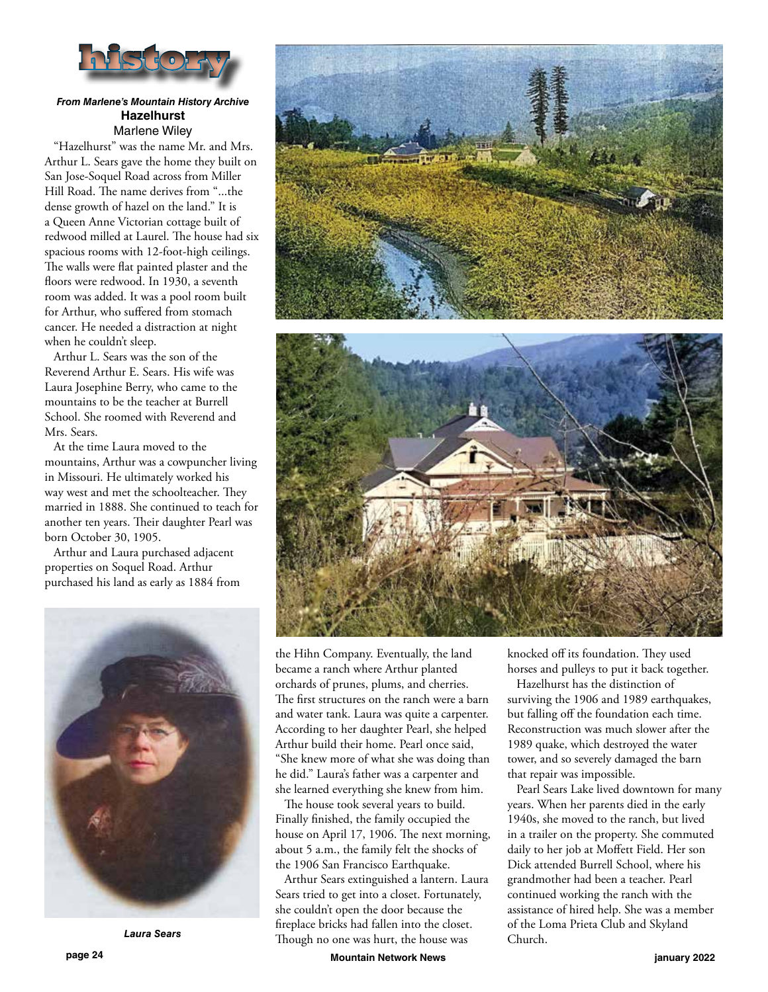

## *From Marlene's Mountain History Archive* **Hazelhurst** Marlene Wiley

"Hazelhurst" was the name Mr. and Mrs. Arthur L. Sears gave the home they built on San Jose-Soquel Road across from Miller Hill Road. The name derives from "...the dense growth of hazel on the land." It is a Queen Anne Victorian cottage built of redwood milled at Laurel. The house had six spacious rooms with 12-foot-high ceilings. The walls were flat painted plaster and the floors were redwood. In 1930, a seventh room was added. It was a pool room built for Arthur, who suffered from stomach cancer. He needed a distraction at night when he couldn't sleep.

Arthur L. Sears was the son of the Reverend Arthur E. Sears. His wife was Laura Josephine Berry, who came to the mountains to be the teacher at Burrell School. She roomed with Reverend and Mrs. Sears.

At the time Laura moved to the mountains, Arthur was a cowpuncher living in Missouri. He ultimately worked his way west and met the schoolteacher. They married in 1888. She continued to teach for another ten years. Their daughter Pearl was born October 30, 1905.

Arthur and Laura purchased adjacent properties on Soquel Road. Arthur purchased his land as early as 1884 from





the Hihn Company. Eventually, the land became a ranch where Arthur planted orchards of prunes, plums, and cherries. The first structures on the ranch were a barn and water tank. Laura was quite a carpenter. According to her daughter Pearl, she helped Arthur build their home. Pearl once said, "She knew more of what she was doing than he did." Laura's father was a carpenter and she learned everything she knew from him.

The house took several years to build. Finally finished, the family occupied the house on April 17, 1906. The next morning, about 5 a.m., the family felt the shocks of the 1906 San Francisco Earthquake.

Arthur Sears extinguished a lantern. Laura Sears tried to get into a closet. Fortunately, she couldn't open the door because the fireplace bricks had fallen into the closet. Though no one was hurt, the house was *Laura Sears*

knocked off its foundation. They used horses and pulleys to put it back together.

Hazelhurst has the distinction of surviving the 1906 and 1989 earthquakes, but falling off the foundation each time. Reconstruction was much slower after the 1989 quake, which destroyed the water tower, and so severely damaged the barn that repair was impossible.

Pearl Sears Lake lived downtown for many years. When her parents died in the early 1940s, she moved to the ranch, but lived in a trailer on the property. She commuted daily to her job at Moffett Field. Her son Dick attended Burrell School, where his grandmother had been a teacher. Pearl continued working the ranch with the assistance of hired help. She was a member of the Loma Prieta Club and Skyland Church.

**page 24 Mountain Network News january 2022**